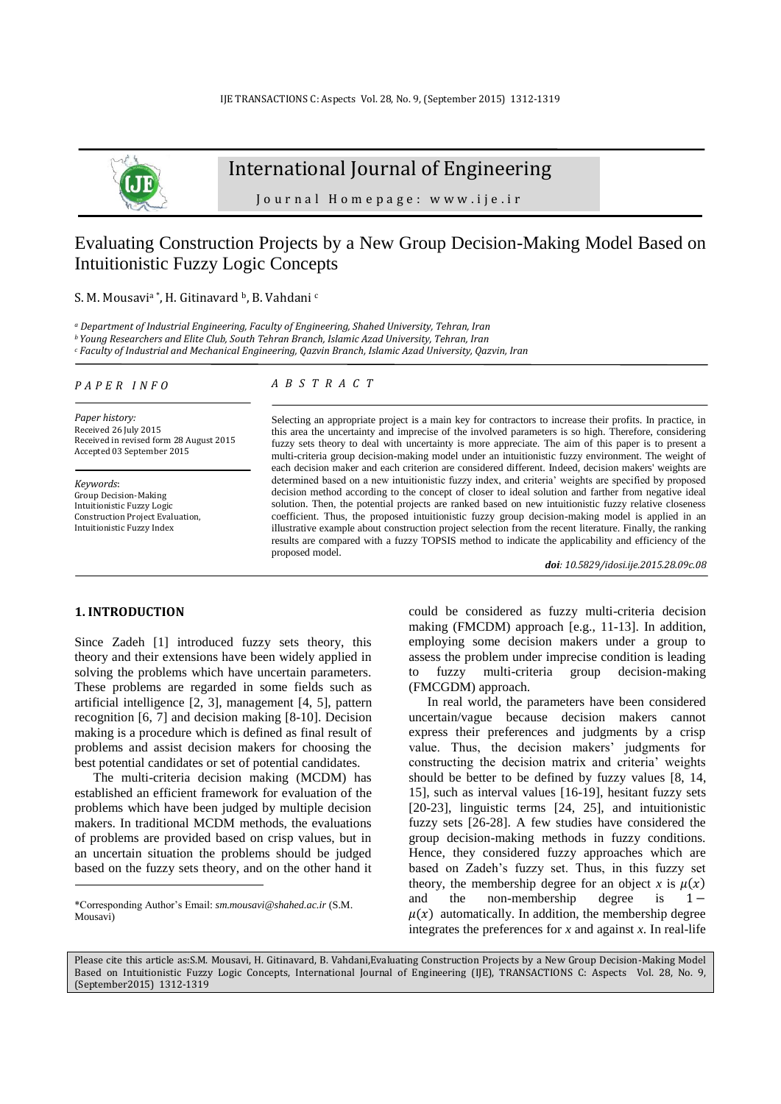

# International Journal of Engineering

J o u r n a l H o m e p a g e : w w w . i j e . i r

## Evaluating Construction Projects by a New Group Decision-Making Model Based on Intuitionistic Fuzzy Logic Concepts

S. M. Mousavi<sup>a\*</sup>, H. Gitinavard <sup>b</sup>, B. Vahdani c

*<sup>a</sup> Department of Industrial Engineering, Faculty of Engineering, Shahed University, Tehran, Iran* 

*<sup>b</sup>Young Researchers and Elite Club, South Tehran Branch, Islamic Azad University, Tehran, Iran <sup>c</sup> Faculty of Industrial and Mechanical Engineering, Qazvin Branch, Islamic Azad University, Qazvin, Iran*

*P A P E R I N F O*

### *A B S T R A C T*

*Paper history:* Received 26 July 2015 Received in revised form 28 August 2015 Accepted 03 September 2015

*Keywords*: Group Decision-Making Intuitionistic Fuzzy Logic Construction Project Evaluation, Intuitionistic Fuzzy Index

Selecting an appropriate project is a main key for contractors to increase their profits. In practice, in this area the uncertainty and imprecise of the involved parameters is so high. Therefore, considering fuzzy sets theory to deal with uncertainty is more appreciate. The aim of this paper is to present a multi-criteria group decision-making model under an intuitionistic fuzzy environment. The weight of each decision maker and each criterion are considered different. Indeed, decision makers' weights are determined based on a new intuitionistic fuzzy index, and criteria' weights are specified by proposed decision method according to the concept of closer to ideal solution and farther from negative ideal solution. Then, the potential projects are ranked based on new intuitionistic fuzzy relative closeness coefficient. Thus, the proposed intuitionistic fuzzy group decision-making model is applied in an illustrative example about construction project selection from the recent literature. Finally, the ranking results are compared with a fuzzy TOPSIS method to indicate the applicability and efficiency of the proposed model.

*doi: 10.5829/idosi.ije.2015.28.09c.08*

#### **1. INTRODUCTION<sup>1</sup>**

 $\overline{a}$ 

Since Zadeh [\[1\]](#page-6-0) introduced fuzzy sets theory, this theory and their extensions have been widely applied in solving the problems which have uncertain parameters. These problems are regarded in some fields such as artificial intelligence [\[2,](#page-6-1) [3\]](#page-6-2), management [\[4,](#page-6-3) [5\]](#page-6-4), pattern recognition [\[6,](#page-6-5) [7\]](#page-6-6) and decision making [\[8-10\]](#page-6-7). Decision making is a procedure which is defined as final result of problems and assist decision makers for choosing the best potential candidates or set of potential candidates.

The multi-criteria decision making (MCDM) has established an efficient framework for evaluation of the problems which have been judged by multiple decision makers. In traditional MCDM methods, the evaluations of problems are provided based on crisp values, but in an uncertain situation the problems should be judged based on the fuzzy sets theory, and on the other hand it could be considered as fuzzy multi-criteria decision making (FMCDM) approach [e.g., [11-13\]](#page-6-8). In addition, employing some decision makers under a group to assess the problem under imprecise condition is leading to fuzzy multi-criteria group decision-making (FMCGDM) approach.

In real world, the parameters have been considered uncertain/vague because decision makers cannot express their preferences and judgments by a crisp value. Thus, the decision makers' judgments for constructing the decision matrix and criteria' weights should be better to be defined by fuzzy values [\[8,](#page-6-7) [14,](#page-6-9) [15\]](#page-6-10), such as interval values [\[16-19\]](#page-6-11), hesitant fuzzy sets [\[20-23\]](#page-6-12), linguistic terms [\[24,](#page-6-13) [25\]](#page-6-14), and intuitionistic fuzzy sets [\[26-28\]](#page-7-0). A few studies have considered the group decision-making methods in fuzzy conditions. Hence, they considered fuzzy approaches which are based on Zadeh's fuzzy set. Thus, in this fuzzy set theory, the membership degree for an object *x* is  $\mu(x)$ and the non-membership degree is  $1 \mu(x)$  automatically. In addition, the membership degree integrates the preferences for *x* and against *x*. In real-life

Please cite this article as:S.M. Mousavi, H. Gitinavard, B. Vahdani,Evaluating Construction Projects by a New Group Decision-Making Model Based on Intuitionistic Fuzzy Logic Concepts, International Journal of Engineering (IJE), TRANSACTIONS C: Aspects Vol. 28, No. 9, (September2015) 1312-1319

<sup>\*</sup>Corresponding Author's Email: *[sm.mousavi@s](mailto:sm.mousavi@)hahed.ac.ir* (S.M. Mousavi)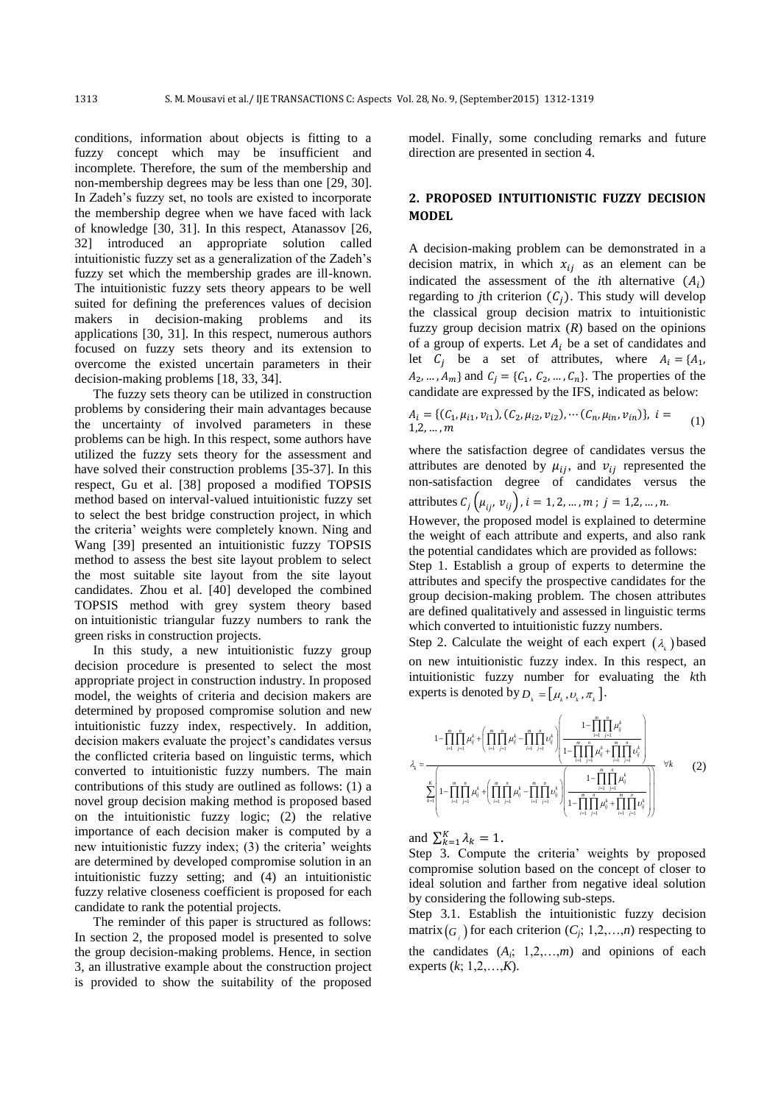conditions, information about objects is fitting to a fuzzy concept which may be insufficient and incomplete. Therefore, the sum of the membership and non-membership degrees may be less than one [\[29,](#page-7-1) [30\]](#page-7-2). In Zadeh's fuzzy set, no tools are existed to incorporate the membership degree when we have faced with lack of knowledge [\[30,](#page-7-2) [31\]](#page-7-3). In this respect, Atanassov [\[26,](#page-7-0) [32\]](#page-7-4) introduced an appropriate solution called intuitionistic fuzzy set as a generalization of the Zadeh's fuzzy set which the membership grades are ill-known. The intuitionistic fuzzy sets theory appears to be well suited for defining the preferences values of decision makers in decision-making problems and its applications [\[30,](#page-7-2) [31\]](#page-7-3). In this respect, numerous authors focused on fuzzy sets theory and its extension to overcome the existed uncertain parameters in their decision-making problems [\[18,](#page-6-15) [33,](#page-7-5) [34\]](#page-7-6).

The fuzzy sets theory can be utilized in construction problems by considering their main advantages because the uncertainty of involved parameters in these problems can be high. In this respect, some authors have utilized the fuzzy sets theory for the assessment and have solved their construction problems [\[35-37\]](#page-7-7). In this respect, Gu et al. [\[38\]](#page-7-8) proposed a modified TOPSIS method based on interval-valued intuitionistic fuzzy set to select the best bridge construction project, in which the criteria' weights were completely known. Ning and Wang [\[39\]](#page-7-9) presented an intuitionistic fuzzy TOPSIS method to assess the best site layout problem to select the most suitable site layout from the site layout candidates. Zhou et al. [\[40\]](#page-7-10) developed the combined TOPSIS method with grey system theory based on intuitionistic triangular fuzzy numbers to rank the green risks in construction projects.

In this study, a new intuitionistic fuzzy group decision procedure is presented to select the most appropriate project in construction industry. In proposed model, the weights of criteria and decision makers are determined by proposed compromise solution and new intuitionistic fuzzy index, respectively. In addition, decision makers evaluate the project's candidates versus the conflicted criteria based on linguistic terms, which converted to intuitionistic fuzzy numbers. The main contributions of this study are outlined as follows: (1) a novel group decision making method is proposed based on the intuitionistic fuzzy logic; (2) the relative importance of each decision maker is computed by a new intuitionistic fuzzy index; (3) the criteria' weights are determined by developed compromise solution in an intuitionistic fuzzy setting; and (4) an intuitionistic fuzzy relative closeness coefficient is proposed for each candidate to rank the potential projects.

The reminder of this paper is structured as follows: In section 2, the proposed model is presented to solve the group decision-making problems. Hence, in section 3, an illustrative example about the construction project is provided to show the suitability of the proposed model. Finally, some concluding remarks and future direction are presented in section 4.

## **2. PROPOSED INTUITIONISTIC FUZZY DECISION MODEL**

A decision-making problem can be demonstrated in a decision matrix, in which  $x_{ij}$  as an element can be indicated the assessment of the *i*th alternative  $(A_i)$ regarding to *j*th criterion  $(C_i)$ . This study will develop the classical group decision matrix to intuitionistic fuzzy group decision matrix  $(R)$  based on the opinions of a group of experts. Let  $A_i$  be a set of candidates and let  $C_i$  be a set of attributes, where  $A_i = \{A_1, A_2, \ldots, A_n\}$  $A_2$ , ...,  $A_m$ } and  $C_j = \{C_1, C_2, ..., C_n\}$ . The properties of the candidate are expressed by the IFS, indicated as below:

$$
A_i = \{ (C_1, \mu_{i1}, \nu_{i1}), (C_2, \mu_{i2}, \nu_{i2}), \cdots (C_n, \mu_{in}, \nu_{in}) \}, i = 1, 2, \ldots, m
$$
 (1)

where the satisfaction degree of candidates versus the attributes are denoted by  $\mu_{ij}$ , and  $v_{ij}$  represented the non-satisfaction degree of candidates versus the attributes  $C_j(\mu_{ij}, v_{ij}), i = 1, 2, ..., m; j = 1, 2, ..., n$ .

However, the proposed model is explained to determine the weight of each attribute and experts, and also rank the potential candidates which are provided as follows:

Step 1. Establish a group of experts to determine the attributes and specify the prospective candidates for the group decision-making problem. The chosen attributes are defined qualitatively and assessed in linguistic terms which converted to intuitionistic fuzzy numbers.

Step 2. Calculate the weight of each expert  $(\lambda_k)$  based on new intuitionistic fuzzy index. In this respect, an intuitionistic fuzzy number for evaluating the *k*th<br>experts is denoted by  $D_k = [\mu_k, \nu_k, \pi_k]$ .<br> $1 - \prod_{i=1}^{m} \prod_{j=1}^{n} \mu_k^k + (\prod_{i=1}^{m} \prod_{j=1}^{n} \mu_k^k - \prod_{i=1}^{m} \prod_{j=1}^{n} \nu_k^k)$ 

exists is denoted by 
$$
D_k = [\mu_k, \nu_k, \pi_k].
$$

\n
$$
1 - \prod_{i=1}^{m} \prod_{j=1}^{n} \mu_{ij}^k + \left( \prod_{i=1}^{m} \prod_{j=1}^{n} \mu_{ij}^k - \prod_{i=1}^{m} \prod_{j=1}^{n} \nu_{ij}^k \right) \left( \frac{1 - \prod_{i=1}^{m} \prod_{j=1}^{n} \mu_{ij}^k}{1 - \prod_{i=1}^{m} \prod_{j=1}^{m} \mu_{ij}^k + \prod_{i=1}^{m} \prod_{j=1}^{n} \nu_{ij}^k} \right)
$$
\n
$$
\lambda_k = \frac{\sum_{k=1}^{K} \left( 1 - \prod_{i=1}^{m} \prod_{j=1}^{n} \mu_{ij}^k + \left( \prod_{i=1}^{m} \prod_{j=1}^{n} \mu_{ij}^k - \prod_{i=1}^{m} \prod_{j=1}^{n} \nu_{ij}^k \right) \left( \frac{1 - \prod_{i=1}^{m} \prod_{j=1}^{n} \mu_{ij}^k}{1 - \prod_{i=1}^{m} \prod_{j=1}^{m} \mu_{ij}^k + \prod_{i=1}^{m} \prod_{j=1}^{n} \nu_{ij}^k} \right)} \quad \forall k \tag{2}
$$

and  $\sum_{k=1}^{K} \lambda_k = 1$ .

Step 3. Compute the criteria' weights by proposed compromise solution based on the concept of closer to ideal solution and farther from negative ideal solution by considering the following sub-steps.

Step 3.1. Establish the intuitionistic fuzzy decision matrix  $(G_i)$  for each criterion  $(C_j; 1,2,...,n)$  respecting to the candidates  $(A_i; 1,2,...,m)$  and opinions of each experts (*k*; 1,2,…,*K*).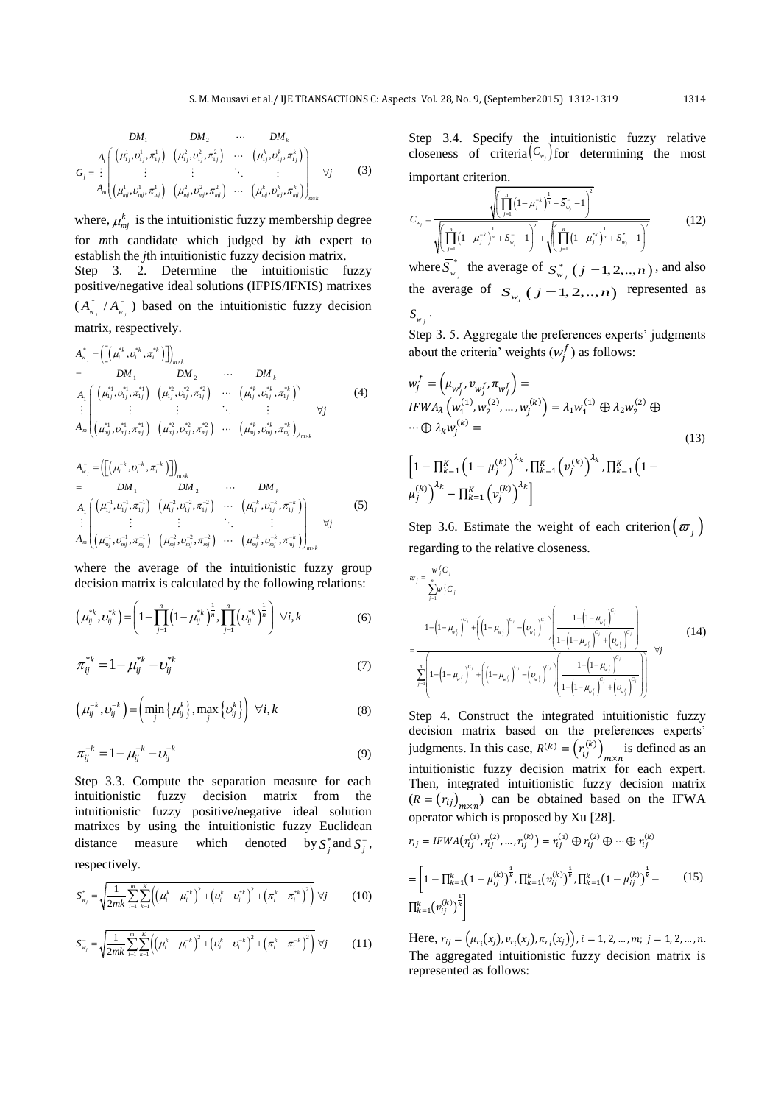$$
DM_{1} \qquad DM_{2} \qquad \cdots \qquad DM_{k}
$$
\n
$$
G_{j} = \begin{bmatrix}\nA_{1} \left( \left( \mu_{1j}^{1}, \nu_{1j}^{1}, \pi_{1j}^{1} \right) \left( \mu_{1j}^{2}, \nu_{1j}^{2}, \pi_{1j}^{2} \right) & \cdots & \left( \mu_{1j}^{k}, \nu_{1j}^{k}, \pi_{1j}^{k} \right) \\
\vdots & \vdots & \ddots & \vdots \\
A_{m} \left( \mu_{mj}^{1}, \nu_{mj}^{1}, \pi_{mj}^{1} \right) \left( \mu_{mj}^{2}, \nu_{mj}^{2}, \pi_{mj}^{2} \right) & \cdots & \left( \mu_{mj}^{k}, \nu_{mj}^{k}, \pi_{mj}^{k} \right) \right)_{m \times k}\n\end{bmatrix} \forall j
$$
\n(3)

where,  $\mu_{mj}^k$  is the intuitionistic fuzzy membership degree for *m*th candidate which judged by *k*th expert to establish the *j*th intuitionistic fuzzy decision matrix. Step 3. 2. Determine the intuitionistic fuzzy positive/negative ideal solutions (IFPIS/IFNIS) matrixes  $\left(A_{_{W_{_{i}}}}^{^{*}}\left/A_{_{W_{_{i}}}}^{-}\right.\right)$ ) based on the intuitionistic fuzzy decision

matrix, respectively.  
\n
$$
A_{w_j}^* = \left( \left[ \left( \mu_i^{*k}, \nu_i^{*k}, \pi_i^{*k} \right) \right] \right)_{m \times k}
$$
\n
$$
= DM_1 \qquad DM_2 \qquad \cdots \qquad DM_k
$$
\n
$$
A_1 \left( \left( \mu_{1j}^{*1}, \nu_{1j}^{*1}, \pi_{1j}^{*1} \right) \left( \mu_{1j}^{*2}, \nu_{1j}^{*2}, \pi_{1j}^{*2} \right) \cdots \left( \mu_{1j}^{*k}, \nu_{1j}^{*k}, \pi_{1j}^{*k} \right) \right) \qquad \vdots \qquad \vdots \qquad \vdots \qquad \vdots \qquad \vdots \qquad \vdots \qquad \vdots \qquad \vdots \qquad \vdots \qquad \vdots \qquad \vdots \qquad \vdots \qquad \vdots \qquad \vdots \qquad \vdots \qquad \vdots \qquad \vdots \qquad \vdots \qquad \vdots \qquad \vdots \qquad \vdots \qquad \vdots \qquad \vdots \qquad \vdots \qquad \vdots \qquad \vdots \qquad \vdots \qquad \vdots \qquad \vdots \qquad \vdots \qquad \vdots \qquad \vdots \qquad \vdots \qquad \vdots \qquad \vdots \qquad \vdots \qquad \vdots \qquad \vdots \qquad \vdots \qquad \vdots \qquad \vdots \qquad \vdots \qquad \vdots \qquad \vdots \qquad \vdots \qquad \vdots \qquad \vdots \qquad \vdots \qquad \vdots \qquad \vdots \qquad \vdots \qquad \vdots \qquad \vdots \qquad \vdots \qquad \vdots \qquad \vdots \qquad \vdots \qquad \vdots \qquad \vdots \qquad \vdots \qquad \vdots \qquad \vdots \qquad \vdots \qquad \vdots \qquad \vdots \qquad \vdots \qquad \vdots \qquad \vdots \qquad \vdots \qquad \vdots \qquad \vdots \qquad \vdots \qquad \vdots \qquad \vdots \qquad \vdots \qquad \vdots \qquad \vdots \qquad \vdots \qquad \vdots \qquad \vdots \qquad \vdots \qquad \vdots \qquad \vdots \qquad \vdots \qquad \vdots \qquad \vdots \qquad \vdots \qquad \vdots \qquad \vdots \qquad \vd
$$

$$
A_{w_j}^{-} = \left( \left[ \left( \mu_i^{-k}, \nu_i^{-k}, \pi_i^{-k} \right) \right] \right)_{m \times k}
$$
  
\n
$$
= \left[ \left[ \left( \mu_i^{-k}, \nu_i^{-k}, \pi_i^{-k} \right) \right] \right)_{m \times k}
$$
  
\n
$$
= \left[ \left[ \left( \mu_i^{-k}, \nu_i^{-k}, \pi_i^{-k} \right) \right] \right)_{m \times k}
$$
  
\n
$$
A_1 \left( \left( \mu_{1j}^{-1}, \nu_{1j}^{-1}, \pi_{1j}^{-1} \right) \left( \mu_{1j}^{-2}, \nu_{1j}^{-2}, \pi_{1j}^{-2} \right) \cdots \left( \mu_{1j}^{-k}, \nu_{1j}^{-k}, \pi_{1j}^{-k} \right) \right)
$$
  
\n
$$
\vdots \left( \mu_{mj}^{-1}, \nu_{mj}^{-1}, \pi_{mj}^{-1} \right) \left( \mu_{mj}^{-2}, \nu_{mj}^{-2}, \pi_{mj}^{-2} \right) \cdots \left( \mu_{mj}^{-k}, \nu_{mj}^{-k}, \pi_{mj}^{-k} \right) \right)_{m \times k}
$$
  
\n(5)

where the average of the intuitionistic fuzzy group

decision matrix is calculated by the following relations:  
\n
$$
\left(\mu_{ij}^{*k}, \nu_{ij}^{*k}\right) = \left(1 - \prod_{j=1}^{n} \left(1 - \mu_{ij}^{*k}\right)^{\frac{1}{n}}, \prod_{j=1}^{n} \left(\nu_{ij}^{*k}\right)^{\frac{1}{n}}\right) \forall i, k
$$
\n(6)

$$
\pi_{ij}^{*k} = 1 - \mu_{ij}^{*k} - \nu_{ij}^{*k}
$$
 (7)

$$
\left(\mu_{ij}^{-k},\nu_{ij}^{-k}\right) = \left(\min_j \left\{\mu_{ij}^k\right\}, \max_j \left\{\nu_{ij}^k\right\}\right) \ \forall i, k \tag{8}
$$

$$
\pi_{ij}^{-k} = 1 - \mu_{ij}^{-k} - \nu_{ij}^{-k}
$$
 (9)

Step 3.3. Compute the separation measure for each intuitionistic fuzzy decision matrix from the intuitionistic fuzzy positive/negative ideal solution matrixes by using the intuitionistic fuzzy Euclidean distance measure which denoted by  $S_j^*$  and  $S_j^-$ , respectively.

respectively.  
\n
$$
S_{w_j}^* = \sqrt{\frac{1}{2mk} \sum_{i=1}^m \sum_{k=1}^K \left( \left( \mu_i^k - \mu_i^{*k} \right)^2 + \left( \nu_i^k - \nu_i^{*k} \right)^2 + \left( \pi_i^k - \pi_i^{*k} \right)^2 \right)} \ \forall j \tag{10}
$$

$$
S_{w_j} = \sqrt{\frac{1}{2mk} \sum_{i=1}^{m} \sum_{k=1}^{K} \left( \left( \mu_i^k - \mu_i^k \right)^2 + \left( \nu_i^k - \nu_i^k \right)^2 + \left( \mu_i^k - \mu_i^k \right)^2 \right)} \quad (10)
$$
  

$$
S_{w_j}^- = \sqrt{\frac{1}{2mk} \sum_{i=1}^{m} \sum_{k=1}^{K} \left( \left( \mu_i^k - \mu_i^k \right)^2 + \left( \nu_i^k - \nu_i^k \right)^2 + \left( \pi_i^k - \pi_i^k \right)^2 \right)} \quad (11)
$$

Step 3.4. Specify the intuitionistic fuzzy relative closeness of criteria $(C_{w_j})$  for determining the most important criterion.

$$
\text{important criterion.}
$$
\n
$$
C_{w_j} = \frac{\sqrt{\left(\prod_{j=1}^{n} (1 - \mu_j^{-k})^{\frac{1}{n}} + \overline{S}_{w_j} - 1\right)^2}}{\sqrt{\left(\prod_{j=1}^{n} (1 - \mu_j^{-k})^{\frac{1}{n}} + \overline{S}_{w_j} - 1\right)^2} + \sqrt{\left(\prod_{j=1}^{n} (1 - \mu_j^{-k})^{\frac{1}{n}} + \overline{S}_{w_j}^{-k} - 1\right)^2}}
$$
\n
$$
\text{Thus } \overline{\sigma}^*
$$
\nThus, the result is a given by  $\sum_{j=1}^{n} (1 - \mu_j^{-k})^{\frac{1}{n}} + \sum_{j=1}^{n} (1 - \mu_j^{-k})^{\frac{1}{n}} + \sum_{j=1}^{n} (1 - \mu_j^{-k})^{\frac{1}{n}} + \sum_{j=1}^{n} (1 - \mu_j^{-k})^{\frac{1}{n}}.$ \n(12)

where  $\overline{S}_{w}^{*}$  $\overline{S}_{w_j}^*$  the average of  $S_{w_j}^*$  ( $j = 1, 2, ..., n$ ), and also the average of  $S_{w_j}^-(j=1,2,..,n)$  represented as  $\bar{\mathcal{S}}_{_{W}^{--}}^{-}$  .

Step 3. 5. Aggregate the preferences experts' judgments about the criteria' weights  $(w_i^f)$  as follows:

 $\sim$ 

$$
w_j^f = \left(\mu_{w_j^f}, v_{w_j^f}, \pi_{w_j^f}\right) =
$$
  
\n
$$
IFWA_{\lambda}\left(w_1^{(1)}, w_2^{(2)}, ..., w_j^{(k)}\right) = \lambda_1 w_1^{(1)} \oplus \lambda_2 w_2^{(2)} \oplus
$$
  
\n
$$
\cdots \oplus \lambda_k w_j^{(k)} =
$$
  
\n
$$
\left[1 - \prod_{k=1}^K \left(1 - \mu_j^{(k)}\right)^{\lambda_k}, \prod_{k=1}^K \left(v_j^{(k)}\right)^{\lambda_k}, \prod_{k=1}^K \left(1 - \mu_j^{(k)}\right)^{\lambda_k} - \prod_{k=1}^K \left(v_j^{(k)}\right)^{\lambda_k}\right]
$$
\n(13)

Step 3.6. Estimate the weight of each criterion  $(\varpi_j)$ regarding to the relative closeness.<br> $\omega_{i} = \frac{w_{i}/C_{i}}{T}$ 

$$
\sigma_{j} = \frac{w_{j}^{f}C_{j}}{\sum_{j=1}^{n}w_{j}^{f}C_{j}}
$$
\n
$$
= \frac{1 - \left(1 - \mu_{w_{j}^{f}}\right)^{c_{j}} + \left(\left(1 - \mu_{w_{j}^{f}}\right)^{c_{j}} - \left(\nu_{w_{j}^{f}}\right)^{c_{j}}\right) \left(\frac{1 - \left(1 - \mu_{w_{j}^{f}}\right)^{c_{j}}}{1 - \left(1 - \mu_{w_{j}^{f}}\right)^{c_{j}} + \left(\nu_{w_{j}^{f}}\right)^{c_{j}}}\right)}{\sum_{j=1}^{n} \left[1 - \left(1 - \mu_{w_{j}^{f}}\right)^{c_{j}} + \left(\left(1 - \mu_{w_{j}^{f}}\right)^{c_{j}} - \left(\nu_{w_{j}^{f}}\right)^{c_{j}}\right) \left(\frac{1 - \left(1 - \mu_{w_{j}^{f}}\right)^{c_{j}}}{1 - \left(1 - \mu_{w_{j}^{f}}\right)^{c_{j}} + \left(\nu_{w_{j}^{f}}\right)^{c_{j}}}\right)}\right) \quad \forall j
$$
\n(14)

Step 4. Construct the integrated intuitionistic fuzzy decision matrix based on the preferences experts' judgments. In this case,  $R^{(k)} = (r_{ij}^{(k)})_{m \times n}$  is defined as an intuitionistic fuzzy decision matrix for each expert. Then, integrated intuitionistic fuzzy decision matrix  $(R = (r_{ij})_{m \times n})$  can be obtained based on the IFWA operator which is proposed by Xu [\[28\]](#page-7-11).

$$
r_{ij} = IFWA(r_{ij}^{(1)}, r_{ij}^{(2)}, ..., r_{ij}^{(k)}) = r_{ij}^{(1)} \oplus r_{ij}^{(2)} \oplus ... \oplus r_{ij}^{(k)}
$$

$$
= \left[1 - \prod_{k=1}^{k} (1 - \mu_{ij}^{(k)})^{\frac{1}{k}}, \prod_{k=1}^{k} (\nu_{ij}^{(k)})^{\frac{1}{k}}, \prod_{k=1}^{k} (1 - \mu_{ij}^{(k)})^{\frac{1}{k}} - \right]
$$
(15)
$$
\prod_{k=1}^{k} (\nu_{ij}^{(k)})^{\frac{1}{k}} \right]
$$

Here,  $r_{ij} = (\mu_{r_i}(x_i), \nu_{r_i}(x_i), \pi_{r_i}(x_i))$ The aggregated intuitionistic fuzzy decision matrix is represented as follows: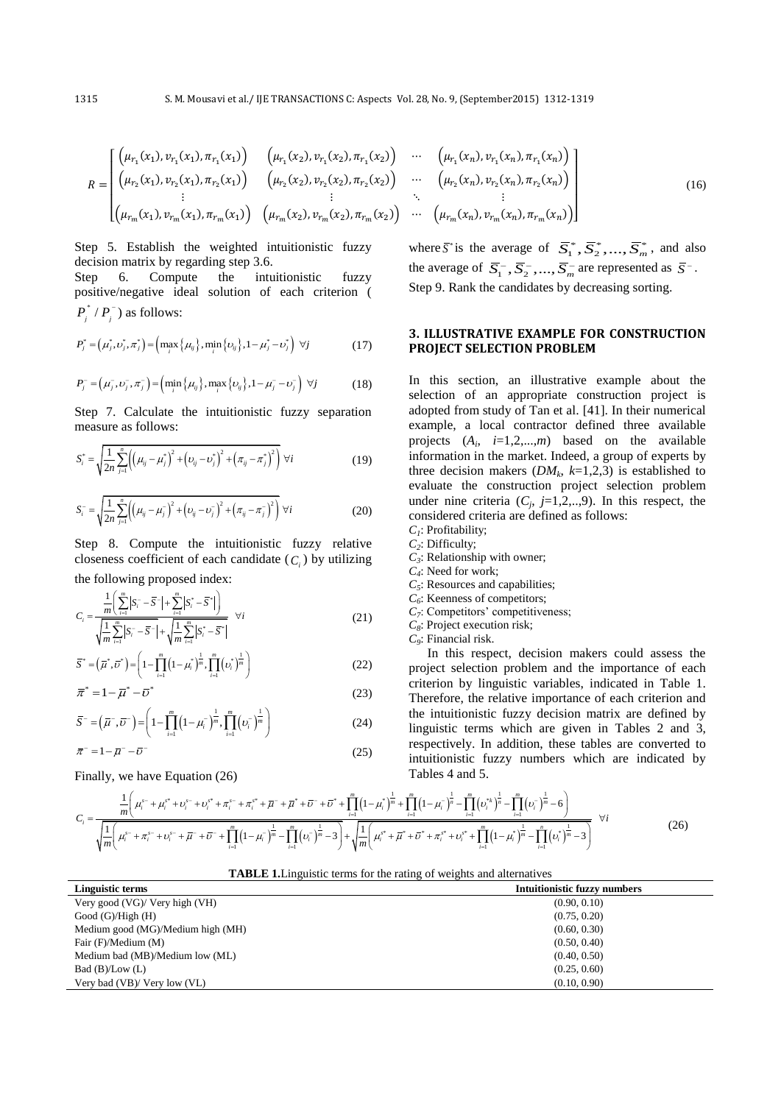$$
R = \begin{bmatrix} \left(\mu_{r_1}(x_1), v_{r_1}(x_1), \pi_{r_1}(x_1)\right) & \left(\mu_{r_1}(x_2), v_{r_1}(x_2), \pi_{r_1}(x_2)\right) & \cdots & \left(\mu_{r_1}(x_n), v_{r_1}(x_n), \pi_{r_1}(x_n)\right) \\ \left(\mu_{r_2}(x_1), v_{r_2}(x_1), \pi_{r_2}(x_1)\right) & \left(\mu_{r_2}(x_2), v_{r_2}(x_2), \pi_{r_2}(x_2)\right) & \cdots & \left(\mu_{r_2}(x_n), v_{r_2}(x_n), \pi_{r_2}(x_n)\right) \\ \vdots & \vdots & \ddots & \vdots \\ \left(\mu_{r_m}(x_1), v_{r_m}(x_1), \pi_{r_m}(x_1)\right) & \left(\mu_{r_m}(x_2), v_{r_m}(x_2), \pi_{r_m}(x_2)\right) & \cdots & \left(\mu_{r_m}(x_n), v_{r_m}(x_n), \pi_{r_m}(x_n)\right) \end{bmatrix}
$$
(16)

Step 5. Establish the weighted intuitionistic fuzzy decision matrix by regarding step 3.6.

Step 6. Compute the intuitionistic fuzzy positive/negative ideal solution of each criterion (  $P_j^* / P_j^-$ ) as follows:

$$
P_j^* = (\mu_j^*, \nu_j^*, \pi_j^*) = (\max_i {\{\mu_{ij}\}}, \min_i {\{\nu_{ij}\}}, 1 - \mu_j^* - \nu_j^*) \ \forall j
$$
 (17)

$$
P_j^- = (\mu_j^-, \nu_j^-, \pi_j^-) = \left(\min_i \{ \mu_{ij} \}, \max_i \{ \nu_{ij} \}, 1 - \mu_j^- - \nu_j^- \right) \ \forall j \tag{18}
$$

Step 7. Calculate the intuitionistic fuzzy separation measure as follows:

$$
S_i^* = \sqrt{\frac{1}{2n} \sum_{j=1}^n \left( \left(\mu_{ij} - \mu_j^* \right)^2 + \left( \nu_{ij} - \nu_j^* \right)^2 + \left( \pi_{ij} - \pi_j^* \right)^2 \right)} \ \forall i
$$
 (19)

$$
S_i^- = \sqrt{\frac{1}{2n} \sum_{j=1}^n \left( \left( \mu_{ij} - \mu_j^-\right)^2 + \left( \nu_{ij} - \nu_j^-\right)^2 + \left( \pi_{ij} - \pi_j^-\right)^2 \right)} \ \forall i
$$
 (20)

Step 8. Compute the intuitionistic fuzzy relative closeness coefficient of each candidate  $(C_i)$  by utilizing

the following proposed index:  
\n
$$
C_{i} = \frac{\frac{1}{m} \left( \sum_{i=1}^{m} |S_{i}^{-} - \overline{S}^{-}| + \sum_{i=1}^{m} |S_{i}^{*} - \overline{S}^{*}| \right)}{\sqrt{\frac{1}{m} \sum_{i=1}^{m} |S_{i}^{-} - \overline{S}^{-}| + \sqrt{\frac{1}{m} \sum_{i=1}^{m} |S_{i}^{*} - \overline{S}^{*}|}} \quad \forall i
$$
\n(21)

$$
\sqrt[n]{m} \sum_{i=1}^{n} |v_i - v| + \sqrt[m]{m} \sum_{i=1}^{n} |v_i - v|
$$
  

$$
\overline{S}^* = (\overline{\mu}^*, \overline{\nu}^*) = \left(1 - \prod_{i=1}^{m} \left(1 - \mu_i^*\right)^{\frac{1}{m}}, \prod_{i=1}^{m} \left(v_i^*\right)^{\frac{1}{m}}\right)
$$
 (22)

$$
\overline{\pi}^* = 1 - \overline{\mu}^* - \overline{\nu}^*
$$
(23)  

$$
\overline{S}^{\dagger} = (\overline{\pi}^* \ \overline{\eta}^*) = \left(1 - \prod_{i=1}^m (1 - \mu^*)^{\frac{1}{m}} \prod_{i=1}^m (\mu^*)^{\frac{1}{m}}\right)
$$
(24)

$$
\overline{\pi}^* = 1 - \overline{\mu}^* - \overline{\nu}^*
$$
(23)  

$$
\overline{S}^- = (\overline{\mu}^-, \overline{\nu}^-) = \left(1 - \prod_{i=1}^m \left(1 - \mu_i^-\right)^{\frac{1}{m}}, \prod_{i=1}^m \left(\nu_i^-\right)^{\frac{1}{m}}\right)
$$
(24)  

$$
\overline{\pi}^- = 1 - \overline{\mu}^- - \overline{\nu}^-
$$
(25)

$$
\overline{\pi}^- = 1 - \overline{\mu}^- - \overline{\nu}^-
$$

Finally, we have Equation (26)

where  $\bar{S}^*$  is the average of  $\bar{S}_1^*, \bar{S}_2^*, \dots, \bar{S}_m^*$ , and also the average of  $\overline{S}_1^-, \overline{S}_2^-, ..., \overline{S}_m^-$  are represented as  $\overline{S}^-$ . Step 9. Rank the candidates by decreasing sorting.

#### **3. ILLUSTRATIVE EXAMPLE FOR CONSTRUCTION PROJECT SELECTION PROBLEM**

In this section, an illustrative example about the selection of an appropriate construction project is adopted from study of Tan et al. [\[41\]](#page-7-12). In their numerical example, a local contractor defined three available projects  $(A_i, i=1,2,...,m)$  based on the available information in the market. Indeed, a group of experts by three decision makers  $(DM_k, k=1,2,3)$  is established to evaluate the construction project selection problem under nine criteria  $(C_j, j=1,2,..,9)$ . In this respect, the considered criteria are defined as follows:

- *C1* : Profitability;
- *C2* : Difficulty;
- *C3* : Relationship with owner;
- *C4* : Need for work;
- $C_5$ : Resources and capabilities;
- *C6* : Keenness of competitors;
- *C7* : Competitors' competitiveness;
- *C8* : Project execution risk; *C9* : Financial risk.

In this respect, decision makers could assess the project selection problem and the importance of each criterion by linguistic variables, indicated in Table 1. Therefore, the relative importance of each criterion and the intuitionistic fuzzy decision matrix are defined by linguistic terms which are given in Tables 2 and 3, intuitionistic fuzzy numbers which are indicated by<br>
Tables 4 and 5.<br>  $\frac{1}{m} + \prod_{r=1}^{m} (1 - u_r^2)^{\frac{1}{n}} - \prod_{r=1}^{m} (v_r^2)^{\frac{1}{n}} - \prod_{r=1}^{m} (v_r^2)^{\frac{1}{n}} - \prod_{r=1}^{m} (v_r^2)^{\frac{1}{n}}$ Tables 4 and 5. Therefore, the relative importance of each contract the intuitionistic fuzzy decision matrix are<br>
linguistic terms which are given in Tables<br>
respectively. In addition, these tables are contributionistic fuzzy numbers whi

$$
\pi^{-} = 1 - \bar{\mu}^{-} - \bar{\nu}^{-}
$$
\n(25)   
\nFinally, we have Equation (26)   
\n
$$
C_{i} = \frac{\frac{1}{m} \left( \mu_{i}^{s_{-}} + \mu_{i}^{s*} + \nu_{i}^{s_{-}} + \nu_{i}^{s*} + \pi_{i}^{s*} + \pi_{i}^{s*} + \bar{\mu}^{-} + \bar{\mu}^{s*} + \bar{\mu}^{-} + \bar{\mu}^{s*} + \bar{\nu}^{-} + \bar{\nu}^{s*} + \bar{\mu}^{-} + \bar{\mu}^{s*} + \bar{\nu}^{-} + \bar{\nu}^{s*} + \bar{\mu}^{-} + \bar{\mu}^{s*} + \bar{\nu}^{-} + \bar{\nu}^{s*} + \bar{\mu}^{-} + \bar{\mu}^{s*} + \bar{\nu}^{-} + \bar{\nu}^{s*} + \bar{\mu}^{-} + \bar{\mu}^{s*} + \bar{\nu}^{-} + \bar{\nu}^{s*} + \bar{\mu}^{-} + \bar{\mu}^{s*} + \bar{\nu}^{-} + \bar{\nu}^{s*} + \bar{\mu}^{s*} + \bar{\nu}^{s*} + \bar{\mu}^{s*} + \bar{\nu}^{s*} + \bar{\mu}^{s*} + \bar{\mu}^{s*} + \bar{\mu}^{s*} + \bar{\mu}^{s*} + \bar{\nu}^{s*} + \bar{\mu}^{s*} + \bar{\mu}^{s*} + \bar{\nu}^{s*} + \bar{\mu}^{s*} + \bar{\mu}^{s*} + \bar{\mu}^{s*} + \bar{\mu}^{s*} + \bar{\mu}^{s*} + \bar{\mu}^{s*} + \bar{\mu}^{s*} + \bar{\mu}^{s*} + \bar{\mu}^{s*} + \bar{\mu}^{s*} + \bar{\mu}^{s*} + \bar{\mu}^{s*} + \bar{\mu}^{s*} + \bar{\mu}^{s*} + \bar{\mu}^{s*} + \bar{\mu}^{s*} + \bar{\mu}^{s*} + \bar{\mu}^{s*} + \bar{\mu}^{s*} + \bar{\mu}^{s*} + \bar{\mu}^{s*} + \bar{\mu}^{s*} + \bar{\mu}^{s*} + \bar{\mu}^{s*} + \bar{\mu}^{s*} + \bar{\mu}^{s*} + \bar{\mu}^{s*} + \bar{\mu
$$

| $\mathbf{v}$<br>$I=1$             | $\blacksquare$ | $I=1$                                                                       |                                     |  |
|-----------------------------------|----------------|-----------------------------------------------------------------------------|-------------------------------------|--|
|                                   |                | <b>TABLE 1.</b> Linguistic terms for the rating of weights and alternatives |                                     |  |
| Linguistic terms                  |                |                                                                             | <b>Intuitionistic fuzzy numbers</b> |  |
| Very good (VG)/ Very high (VH)    |                |                                                                             | (0.90, 0.10)                        |  |
| Good (G)/High (H)                 |                |                                                                             | (0.75, 0.20)                        |  |
| Medium good (MG)/Medium high (MH) |                |                                                                             | (0.60, 0.30)                        |  |
| Fair (F)/Medium (M)               |                |                                                                             | (0.50, 0.40)                        |  |
| Medium bad (MB)/Medium low (ML)   |                |                                                                             | (0.40, 0.50)                        |  |

Bad (B)/Low (L) (0.25, 0.60) Very bad (VB)/ Very low (VL) (0.10, 0.90)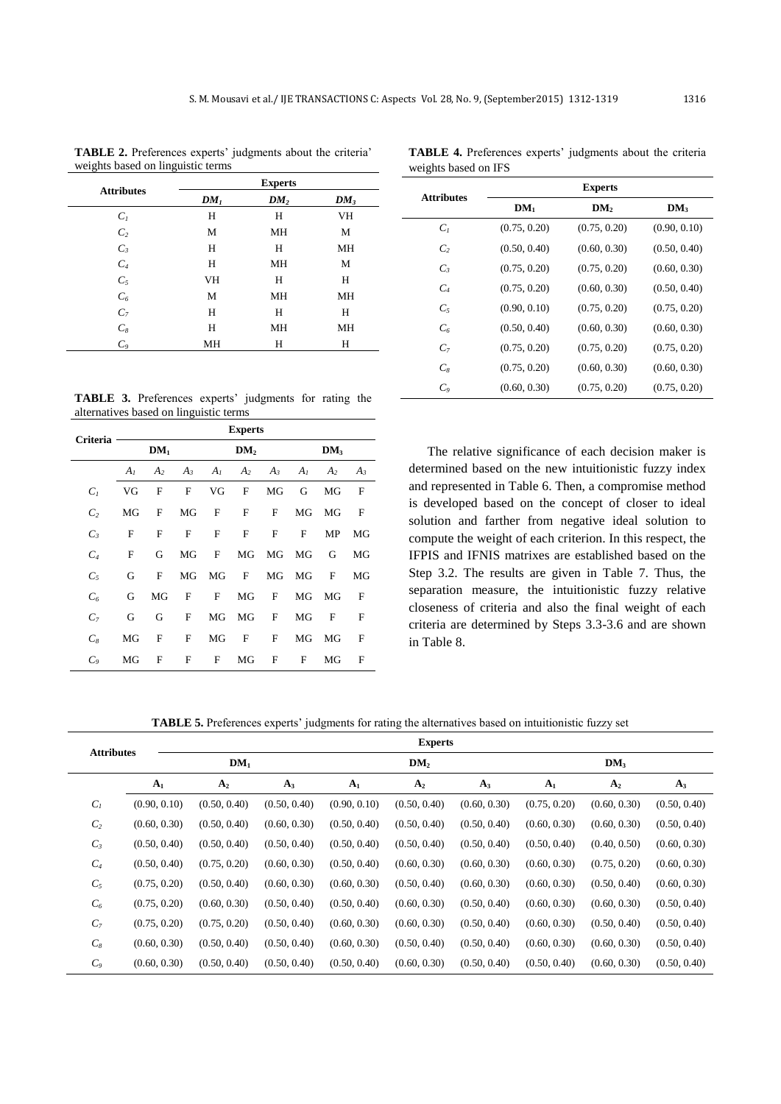| $\check{ }$       | J               | <b>Experts</b>  |           |
|-------------------|-----------------|-----------------|-----------|
| <b>Attributes</b> | DM <sub>1</sub> | DM <sub>2</sub> | $DM_3$    |
| $C_I$             | Н               | Н               | VH        |
| C <sub>2</sub>    | M               | MH              | M         |
| $C_3$             | H               | H               | <b>MH</b> |
| $C_4$             | Н               | MH              | М         |
| $C_5$             | <b>VH</b>       | Н               | Н         |
| $\mathcal{C}_6$   | M               | <b>MH</b>       | MH        |
| $C_7$             | H               | Н               | Н         |
| $\mathcal{C}_8$   | H               | MH              | MH        |
| $C_9$             | MH              | Н               | Н         |

**TABLE 2.** Preferences experts' judgments about the criteria' weights based on linguistic terms

|                      | TABLE 4. Preferences experts' judgments about the criteria |  |  |  |
|----------------------|------------------------------------------------------------|--|--|--|
| weights based on IFS |                                                            |  |  |  |

| <b>Attributes</b> | <b>Experts</b> |                 |                 |  |  |
|-------------------|----------------|-----------------|-----------------|--|--|
|                   | $DM_1$         | DM <sub>2</sub> | DM <sub>3</sub> |  |  |
| C <sub>1</sub>    | (0.75, 0.20)   | (0.75, 0.20)    | (0.90, 0.10)    |  |  |
| $\mathcal{C}_{2}$ | (0.50, 0.40)   | (0.60, 0.30)    | (0.50, 0.40)    |  |  |
| $C_3$             | (0.75, 0.20)   | (0.75, 0.20)    | (0.60, 0.30)    |  |  |
| $C_{4}$           | (0.75, 0.20)   | (0.60, 0.30)    | (0.50, 0.40)    |  |  |
| $C_5$             | (0.90, 0.10)   | (0.75, 0.20)    | (0.75, 0.20)    |  |  |
| C <sub>6</sub>    | (0.50, 0.40)   | (0.60, 0.30)    | (0.60, 0.30)    |  |  |
| C <sub>7</sub>    | (0.75, 0.20)   | (0.75, 0.20)    | (0.75, 0.20)    |  |  |
| $C_8$             | (0.75, 0.20)   | (0.60, 0.30)    | (0.60, 0.30)    |  |  |
| $C_{\rm o}$       | (0.60, 0.30)   | (0.75, 0.20)    | (0.75, 0.20)    |  |  |

**TABLE 3.** Preferences experts' judgments for rating the alternatives based on linguistic terms

| <b>Criteria</b> | <b>Experts</b> |                |              |                |                 |              |                |                 |       |
|-----------------|----------------|----------------|--------------|----------------|-----------------|--------------|----------------|-----------------|-------|
|                 |                | $DM_1$         |              |                | DM <sub>2</sub> |              |                | DM <sub>3</sub> |       |
|                 | $A_I$          | A <sub>2</sub> | $A_3$        | A <sub>I</sub> | A <sub>2</sub>  | $A_3$        | A <sub>I</sub> | A <sub>2</sub>  | $A_3$ |
| $C_I$           | VG             | F              | $\mathbf{F}$ | VG             | $\mathbf{F}$    | MG           | G              | MG              | F     |
| C <sub>2</sub>  | MG             | F              | MG           | F              | $\mathbf{F}$    | F            | MG             | MG              | F     |
| $C_3$           | F              | $\mathbf{F}$   | $\mathbf{F}$ | F              | $\mathbf{F}$    | $\mathbf{F}$ | F              | MP              | MG    |
| C <sub>4</sub>  | F              | G              | MG           | F              | MG              | MG           | MG             | G               | MG    |
| $C_5$           | G              | F              | MG           | MG             | $\mathbf F$     | MG           | MG             | F               | MG    |
| $C_6$           | G              | MG             | F            | F              | MG              | $\mathbf{F}$ | MG             | MG              | F     |
| C <sub>7</sub>  | G              | G              | $\mathbf{F}$ | MG             | MG              | $\mathbf{F}$ | MG             | F               | F     |
| $C_8$           | MG             | $\mathbf{F}$   | $\mathbf{F}$ | MG             | $\mathbf{F}$    | $\mathbf{F}$ | MG             | MG              | F     |
| $C_9$           | MG             | F              | F            | F              | MG              | F            | F              | МG              | F     |

The relative significance of each decision maker is determined based on the new intuitionistic fuzzy index and represented in Table 6. Then, a compromise method is developed based on the concept of closer to ideal solution and farther from negative ideal solution to compute the weight of each criterion. In this respect, the IFPIS and IFNIS matrixes are established based on the Step 3.2. The results are given in Table 7. Thus, the separation measure, the intuitionistic fuzzy relative closeness of criteria and also the final weight of each criteria are determined by Steps 3.3-3.6 and are shown in Table 8.

**TABLE 5.** Preferences experts' judgments for rating the alternatives based on intuitionistic fuzzy set

| <b>Attributes</b> |                |                 |              |                | <b>Experts</b>  |              |                |                 |              |
|-------------------|----------------|-----------------|--------------|----------------|-----------------|--------------|----------------|-----------------|--------------|
|                   |                | DM <sub>1</sub> |              |                | DM <sub>2</sub> |              |                | DM <sub>3</sub> |              |
|                   | A <sub>1</sub> | A <sub>2</sub>  | $A_3$        | A <sub>1</sub> | A <sub>2</sub>  | $A_3$        | A <sub>1</sub> | A <sub>2</sub>  | $A_3$        |
| $C_I$             | (0.90, 0.10)   | (0.50, 0.40)    | (0.50, 0.40) | (0.90, 0.10)   | (0.50, 0.40)    | (0.60, 0.30) | (0.75, 0.20)   | (0.60, 0.30)    | (0.50, 0.40) |
| C <sub>2</sub>    | (0.60, 0.30)   | (0.50, 0.40)    | (0.60, 0.30) | (0.50, 0.40)   | (0.50, 0.40)    | (0.50, 0.40) | (0.60, 0.30)   | (0.60, 0.30)    | (0.50, 0.40) |
| $C_3$             | (0.50, 0.40)   | (0.50, 0.40)    | (0.50, 0.40) | (0.50, 0.40)   | (0.50, 0.40)    | (0.50, 0.40) | (0.50, 0.40)   | (0.40, 0.50)    | (0.60, 0.30) |
| $C_4$             | (0.50, 0.40)   | (0.75, 0.20)    | (0.60, 0.30) | (0.50, 0.40)   | (0.60, 0.30)    | (0.60, 0.30) | (0.60, 0.30)   | (0.75, 0.20)    | (0.60, 0.30) |
| $C_5$             | (0.75, 0.20)   | (0.50, 0.40)    | (0.60, 0.30) | (0.60, 0.30)   | (0.50, 0.40)    | (0.60, 0.30) | (0.60, 0.30)   | (0.50, 0.40)    | (0.60, 0.30) |
| $C_6$             | (0.75, 0.20)   | (0.60, 0.30)    | (0.50, 0.40) | (0.50, 0.40)   | (0.60, 0.30)    | (0.50, 0.40) | (0.60, 0.30)   | (0.60, 0.30)    | (0.50, 0.40) |
| $C_7$             | (0.75, 0.20)   | (0.75, 0.20)    | (0.50, 0.40) | (0.60, 0.30)   | (0.60, 0.30)    | (0.50, 0.40) | (0.60, 0.30)   | (0.50, 0.40)    | (0.50, 0.40) |
| $C_8$             | (0.60, 0.30)   | (0.50, 0.40)    | (0.50, 0.40) | (0.60, 0.30)   | (0.50, 0.40)    | (0.50, 0.40) | (0.60, 0.30)   | (0.60, 0.30)    | (0.50, 0.40) |
| $C_{9}$           | (0.60, 0.30)   | (0.50, 0.40)    | (0.50, 0.40) | (0.50, 0.40)   | (0.60, 0.30)    | (0.50, 0.40) | (0.50, 0.40)   | (0.60, 0.30)    | (0.50, 0.40) |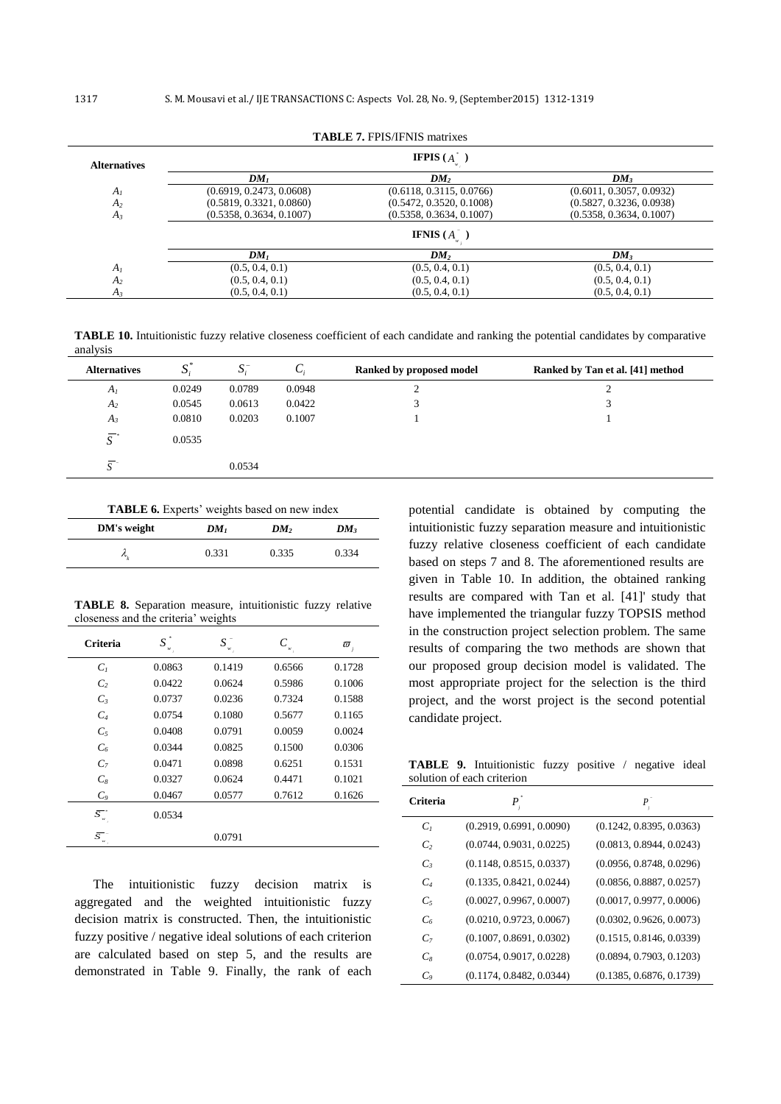| <b>Alternatives</b> |                          | <b>IFPIS</b> $(A^{\dagger})$ |                          |
|---------------------|--------------------------|------------------------------|--------------------------|
|                     | DM <sub>1</sub>          | DM <sub>2</sub>              | DM <sub>3</sub>          |
| A <sub>I</sub>      | (0.6919, 0.2473, 0.0608) | (0.6118, 0.3115, 0.0766)     | (0.6011, 0.3057, 0.0932) |
| A <sub>2</sub>      | (0.5819, 0.3321, 0.0860) | (0.5472, 0.3520, 0.1008)     | (0.5827, 0.3236, 0.0938) |
| $A_3$               | (0.5358, 0.3634, 0.1007) | (0.5358, 0.3634, 0.1007)     | (0.5358, 0.3634, 0.1007) |
|                     |                          | <b>IFNIS</b> $(A^{\top})$    |                          |
|                     | $DM_1$                   | DM <sub>2</sub>              | DM <sub>3</sub>          |
| A <sub>I</sub>      | (0.5, 0.4, 0.1)          | (0.5, 0.4, 0.1)              | (0.5, 0.4, 0.1)          |
| A <sub>2</sub>      | (0.5, 0.4, 0.1)          | (0.5, 0.4, 0.1)              | (0.5, 0.4, 0.1)          |
| $A_3$               | (0.5, 0.4, 0.1)          | (0.5, 0.4, 0.1)              | (0.5, 0.4, 0.1)          |

**TABLE 7.** FPIS/IFNIS matrixes

**TABLE 10.** Intuitionistic fuzzy relative closeness coefficient of each candidate and ranking the potential candidates by comparative analysis

| <b>Alternatives</b> | $\mathbf{C}^*$<br>د | $S_{i}^{-}$ | U:     | Ranked by proposed model | Ranked by Tan et al. [41] method |
|---------------------|---------------------|-------------|--------|--------------------------|----------------------------------|
| $A_I$               | 0.0249              | 0.0789      | 0.0948 | ∠                        | ◠<br>∸                           |
| $A_2$               | 0.0545              | 0.0613      | 0.0422 | 3                        |                                  |
| $A_3$               | 0.0810              | 0.0203      | 0.1007 |                          |                                  |
| $\overline{S}^*$    | 0.0535              |             |        |                          |                                  |
| $\overline{C}$      |                     | 0.0534      |        |                          |                                  |

**TABLE 6.** Experts' weights based on new index

| DM's weight | DM <sub>1</sub> | DM <sub>2</sub> | $DM_3$ |
|-------------|-----------------|-----------------|--------|
|             | 0.331           | 0.335           | 0.334  |

**TABLE 8.** Separation measure, intuitionistic fuzzy relative closeness and the criteria' weights

| Criteria                                           | S      | S      |        | $\varpi_{\scriptscriptstyle j}$ |
|----------------------------------------------------|--------|--------|--------|---------------------------------|
| C <sub>1</sub>                                     | 0.0863 | 0.1419 | 0.6566 | 0.1728                          |
| $\mathcal{C}_{2}$                                  | 0.0422 | 0.0624 | 0.5986 | 0.1006                          |
| $C_3$                                              | 0.0737 | 0.0236 | 0.7324 | 0.1588                          |
| $C_4$                                              | 0.0754 | 0.1080 | 0.5677 | 0.1165                          |
| $C_5$                                              | 0.0408 | 0.0791 | 0.0059 | 0.0024                          |
| C <sub>6</sub>                                     | 0.0344 | 0.0825 | 0.1500 | 0.0306                          |
| $C_7$                                              | 0.0471 | 0.0898 | 0.6251 | 0.1531                          |
| $C_8$                                              | 0.0327 | 0.0624 | 0.4471 | 0.1021                          |
| C <sub>o</sub>                                     | 0.0467 | 0.0577 | 0.7612 | 0.1626                          |
| $\overline{{\mathcal S}_{\scriptscriptstyle w}^-}$ | 0.0534 |        |        |                                 |
| $\bar{s}$                                          |        | 0.0791 |        |                                 |

The intuitionistic fuzzy decision matrix is aggregated and the weighted intuitionistic fuzzy decision matrix is constructed. Then, the intuitionistic fuzzy positive / negative ideal solutions of each criterion are calculated based on step 5, and the results are demonstrated in Table 9. Finally, the rank of each potential candidate is obtained by computing the intuitionistic fuzzy separation measure and intuitionistic fuzzy relative closeness coefficient of each candidate based on steps 7 and 8. The aforementioned results are given in Table 10. In addition, the obtained ranking results are compared with Tan et al. [\[41\]](#page-7-12)' study that have implemented the triangular fuzzy TOPSIS method in the construction project selection problem. The same results of comparing the two methods are shown that our proposed group decision model is validated. The most appropriate project for the selection is the third project, and the worst project is the second potential candidate project.

**TABLE 9.** Intuitionistic fuzzy positive / negative ideal solution of each criterion

| <b>Criteria</b> |                          | $P_{\scriptscriptstyle i}$ |
|-----------------|--------------------------|----------------------------|
| C <sub>1</sub>  | (0.2919, 0.6991, 0.0090) | (0.1242, 0.8395, 0.0363)   |
| $\mathcal{C}$   | (0.0744, 0.9031, 0.0225) | (0.0813, 0.8944, 0.0243)   |
| $C_{3}$         | (0.1148, 0.8515, 0.0337) | (0.0956, 0.8748, 0.0296)   |
| $C_{4}$         | (0.1335, 0.8421, 0.0244) | (0.0856, 0.8887, 0.0257)   |
| $C_5$           | (0.0027, 0.9967, 0.0007) | (0.0017, 0.9977, 0.0006)   |
| C <sub>6</sub>  | (0.0210, 0.9723, 0.0067) | (0.0302, 0.9626, 0.0073)   |
| C <sub>7</sub>  | (0.1007, 0.8691, 0.0302) | (0.1515, 0.8146, 0.0339)   |
| $C_{8}$         | (0.0754, 0.9017, 0.0228) | (0.0894, 0.7903, 0.1203)   |
| $C_{\rm o}$     | (0.1174, 0.8482, 0.0344) | (0.1385, 0.6876, 0.1739)   |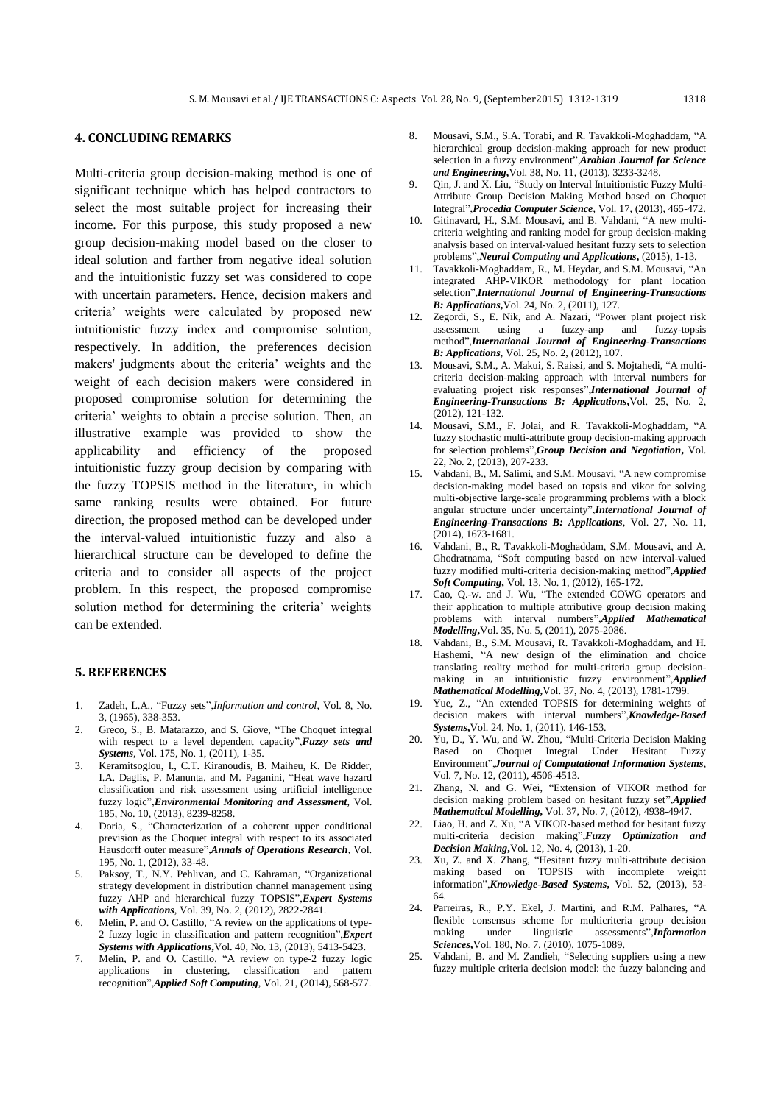### **4. CONCLUDING REMARKS**

Multi-criteria group decision-making method is one of significant technique which has helped contractors to select the most suitable project for increasing their income. For this purpose, this study proposed a new group decision-making model based on the closer to ideal solution and farther from negative ideal solution and the intuitionistic fuzzy set was considered to cope with uncertain parameters. Hence, decision makers and criteria' weights were calculated by proposed new intuitionistic fuzzy index and compromise solution, respectively. In addition, the preferences decision makers' judgments about the criteria' weights and the weight of each decision makers were considered in proposed compromise solution for determining the criteria' weights to obtain a precise solution. Then, an illustrative example was provided to show the applicability and efficiency of the proposed intuitionistic fuzzy group decision by comparing with the fuzzy TOPSIS method in the literature, in which same ranking results were obtained. For future direction, the proposed method can be developed under the interval-valued intuitionistic fuzzy and also a hierarchical structure can be developed to define the criteria and to consider all aspects of the project problem. In this respect, the proposed compromise solution method for determining the criteria' weights can be extended.

#### **5. REFERENCES**

- <span id="page-6-0"></span>1. Zadeh, L.A., "Fuzzy sets",*Information and control*, Vol. 8, No. 3, (1965), 338-353.
- <span id="page-6-1"></span>2. Greco, S., B. Matarazzo, and S. Giove, "The Choquet integral with respect to a level dependent capacity",*Fuzzy sets and Systems*, Vol. 175, No. 1, (2011), 1-35.
- <span id="page-6-2"></span>3. Keramitsoglou, I., C.T. Kiranoudis, B. Maiheu, K. De Ridder, I.A. Daglis, P. Manunta, and M. Paganini, "Heat wave hazard classification and risk assessment using artificial intelligence fuzzy logic",*Environmental Monitoring and Assessment*, Vol. 185, No. 10, (2013), 8239-8258.
- <span id="page-6-3"></span>4. Doria, S., "Characterization of a coherent upper conditional prevision as the Choquet integral with respect to its associated Hausdorff outer measure",*Annals of Operations Research*, Vol. 195, No. 1, (2012), 33-48.
- <span id="page-6-4"></span>5. Paksoy, T., N.Y. Pehlivan, and C. Kahraman, "Organizational strategy development in distribution channel management using fuzzy AHP and hierarchical fuzzy TOPSIS",*Expert Systems with Applications*, Vol. 39, No. 2, (2012), 2822-2841.
- <span id="page-6-5"></span>6. Melin, P. and O. Castillo, "A review on the applications of type-2 fuzzy logic in classification and pattern recognition",*Expert Systems with Applications***,**Vol. 40, No. 13, (2013), 5413-5423.
- <span id="page-6-6"></span>7. Melin, P. and O. Castillo, "A review on type-2 fuzzy logic applications in clustering, classification and pattern recognition",*Applied Soft Computing*, Vol. 21, (2014), 568-577.
- <span id="page-6-7"></span>8. Mousavi, S.M., S.A. Torabi, and R. Tavakkoli-Moghaddam, "A hierarchical group decision-making approach for new product selection in a fuzzy environment",*Arabian Journal for Science and Engineering***,**Vol. 38, No. 11, (2013), 3233-3248.
- 9. Qin, J. and X. Liu, "Study on Interval Intuitionistic Fuzzy Multi-Attribute Group Decision Making Method based on Choquet Integral",*Procedia Computer Science*, Vol. 17, (2013), 465-472.
- 10. Gitinavard, H., S.M. Mousavi, and B. Vahdani, "A new multicriteria weighting and ranking model for group decision-making analysis based on interval-valued hesitant fuzzy sets to selection problems",*Neural Computing and Applications***,** (2015), 1-13.
- <span id="page-6-8"></span>11. Tavakkoli-Moghaddam, R., M. Heydar, and S.M. Mousavi, "An integrated AHP-VIKOR methodology for plant location selection",*International Journal of Engineering-Transactions B: Applications***,**Vol. 24, No. 2, (2011), 127.
- 12. Zegordi, S., E. Nik, and A. Nazari, "Power plant project risk assessment using a fuzzy-anp and method",*International Journal of Engineering-Transactions B: Applications*, Vol. 25, No. 2, (2012), 107.
- 13. Mousavi, S.M., A. Makui, S. Raissi, and S. Mojtahedi, "A multicriteria decision-making approach with interval numbers for evaluating project risk responses",*International Journal of Engineering-Transactions B: Applications***,**Vol. 25, No. 2,  $(2012)$ , 121-132.
- <span id="page-6-9"></span>14. Mousavi, S.M., F. Jolai, and R. Tavakkoli-Moghaddam, "A fuzzy stochastic multi-attribute group decision-making approach for selection problems",*Group Decision and Negotiation***,** Vol. 22, No. 2, (2013), 207-233.
- <span id="page-6-10"></span>15. Vahdani, B., M. Salimi, and S.M. Mousavi, "A new compromise decision-making model based on topsis and vikor for solving multi-objective large-scale programming problems with a block angular structure under uncertainty",*International Journal of Engineering-Transactions B: Applications*, Vol. 27, No. 11, (2014), 1673-1681.
- <span id="page-6-11"></span>16. Vahdani, B., R. Tavakkoli-Moghaddam, S.M. Mousavi, and A. Ghodratnama, "Soft computing based on new interval-valued fuzzy modified multi-criteria decision-making method",*Applied Soft Computing***,** Vol. 13, No. 1, (2012), 165-172.
- 17. Cao, Q.-w. and J. Wu, "The extended COWG operators and their application to multiple attributive group decision making problems with interval numbers",*Applied Mathematical Modelling***,**Vol. 35, No. 5, (2011), 2075-2086.
- <span id="page-6-15"></span>18. Vahdani, B., S.M. Mousavi, R. Tavakkoli-Moghaddam, and H. Hashemi, "A new design of the elimination and choice translating reality method for multi-criteria group decisionmaking in an intuitionistic fuzzy environment",*Applied Mathematical Modelling***,**Vol. 37, No. 4, (2013), 1781-1799.
- 19. Yue, Z., "An extended TOPSIS for determining weights of decision makers with interval numbers",*Knowledge-Based Systems***,**Vol. 24, No. 1, (2011), 146-153.
- <span id="page-6-12"></span>20. Yu, D., Y. Wu, and W. Zhou, "Multi-Criteria Decision Making Based on Choquet Integral Under Hesitant Fuzzy Environment",*Journal of Computational Information Systems*, Vol. 7, No. 12, (2011), 4506-4513.
- Zhang, N. and G. Wei, "Extension of VIKOR method for decision making problem based on hesitant fuzzy set",*Applied Mathematical Modelling***,** Vol. 37, No. 7, (2012), 4938-4947.
- 22. Liao, H. and Z. Xu, "A VIKOR-based method for hesitant fuzzy multi-criteria decision making",*Fuzzy Optimization and Decision Making***,**Vol. 12, No. 4, (2013), 1-20.
- 23. Xu, Z. and X. Zhang, "Hesitant fuzzy multi-attribute decision making based on TOPSIS with incomplete weight information",*Knowledge-Based Systems***,** Vol. 52, (2013), 53- 64.
- <span id="page-6-13"></span>24. Parreiras, R., P.Y. Ekel, J. Martini, and R.M. Palhares, "A flexible consensus scheme for multicriteria group decision making under linguistic assessments",*Information Sciences***,**Vol. 180, No. 7, (2010), 1075-1089.
- <span id="page-6-14"></span>25. Vahdani, B. and M. Zandieh, "Selecting suppliers using a new fuzzy multiple criteria decision model: the fuzzy balancing and